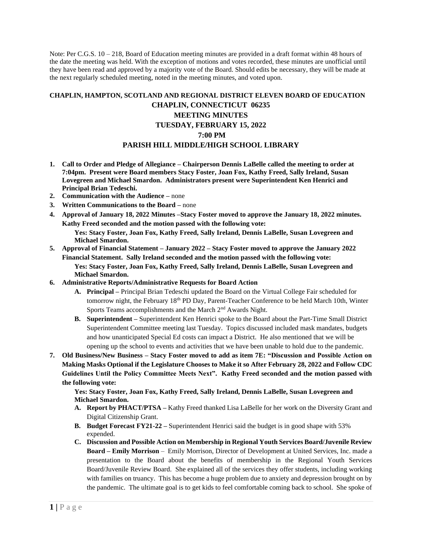Note: Per C.G.S.  $10 - 218$ , Board of Education meeting minutes are provided in a draft format within 48 hours of the date the meeting was held. With the exception of motions and votes recorded, these minutes are unofficial until they have been read and approved by a majority vote of the Board. Should edits be necessary, they will be made at the next regularly scheduled meeting, noted in the meeting minutes, and voted upon.

## **CHAPLIN, HAMPTON, SCOTLAND AND REGIONAL DISTRICT ELEVEN BOARD OF EDUCATION CHAPLIN, CONNECTICUT 06235 MEETING MINUTES TUESDAY, FEBRUARY 15, 2022 7:00 PM PARISH HILL MIDDLE/HIGH SCHOOL LIBRARY**

- **1. Call to Order and Pledge of Allegiance – Chairperson Dennis LaBelle called the meeting to order at 7:04pm. Present were Board members Stacy Foster, Joan Fox, Kathy Freed, Sally Ireland, Susan Lovegreen and Michael Smardon. Administrators present were Superintendent Ken Henrici and Principal Brian Tedeschi.**
- **2. Communication with the Audience –** none
- **3. Written Communications to the Board –** none
- **4. Approval of January 18, 2022 Minutes –Stacy Foster moved to approve the January 18, 2022 minutes. Kathy Freed seconded and the motion passed with the following vote:**

**Yes: Stacy Foster, Joan Fox, Kathy Freed, Sally Ireland, Dennis LaBelle, Susan Lovegreen and Michael Smardon.**

- **5. Approval of Financial Statement – January 2022 – Stacy Foster moved to approve the January 2022 Financial Statement. Sally Ireland seconded and the motion passed with the following vote: Yes: Stacy Foster, Joan Fox, Kathy Freed, Sally Ireland, Dennis LaBelle, Susan Lovegreen and Michael Smardon.**
- **6. Administrative Reports/Administrative Requests for Board Action** 
	- **A. Principal –** Principal Brian Tedeschi updated the Board on the Virtual College Fair scheduled for tomorrow night, the February 18th PD Day, Parent-Teacher Conference to be held March 10th, Winter Sports Teams accomplishments and the March 2<sup>nd</sup> Awards Night.
	- **B. Superintendent –** Superintendent Ken Henrici spoke to the Board about the Part-Time Small District Superintendent Committee meeting last Tuesday. Topics discussed included mask mandates, budgets and how unanticipated Special Ed costs can impact a District. He also mentioned that we will be opening up the school to events and activities that we have been unable to hold due to the pandemic.
- **7. Old Business/New Business – Stacy Foster moved to add as item 7E: "Discussion and Possible Action on Making Masks Optional if the Legislature Chooses to Make it so After February 28, 2022 and Follow CDC Guidelines Until the Policy Committee Meets Next". Kathy Freed seconded and the motion passed with the following vote:**

**Yes: Stacy Foster, Joan Fox, Kathy Freed, Sally Ireland, Dennis LaBelle, Susan Lovegreen and Michael Smardon.**

- **A. Report by PHACT/PTSA –** Kathy Freed thanked Lisa LaBelle for her work on the Diversity Grant and Digital Citizenship Grant.
- **B. Budget Forecast FY21-22 –** Superintendent Henrici said the budget is in good shape with 53% expended.
- **C. Discussion and Possible Action on Membership in Regional Youth Services Board/Juvenile Review Board – Emily Morrison** – Emily Morrison, Director of Development at United Services, Inc. made a presentation to the Board about the benefits of membership in the Regional Youth Services Board/Juvenile Review Board. She explained all of the services they offer students, including working with families on truancy. This has become a huge problem due to anxiety and depression brought on by the pandemic. The ultimate goal is to get kids to feel comfortable coming back to school. She spoke of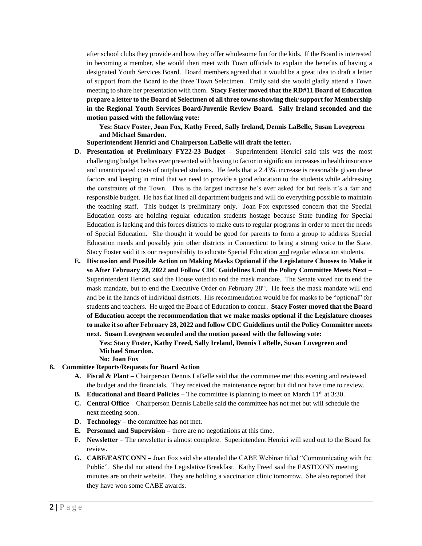after school clubs they provide and how they offer wholesome fun for the kids. If the Board is interested in becoming a member, she would then meet with Town officials to explain the benefits of having a designated Youth Services Board. Board members agreed that it would be a great idea to draft a letter of support from the Board to the three Town Selectmen. Emily said she would gladly attend a Town meeting to share her presentation with them. **Stacy Foster moved that the RD#11 Board of Education prepare a letter to the Board of Selectmen of all three towns showing their support for Membership in the Regional Youth Services Board/Juvenile Review Board. Sally Ireland seconded and the motion passed with the following vote:**

**Yes: Stacy Foster, Joan Fox, Kathy Freed, Sally Ireland, Dennis LaBelle, Susan Lovegreen and Michael Smardon.**

## **Superintendent Henrici and Chairperson LaBelle will draft the letter.**

- **D. Presentation of Preliminary FY22-23 Budget –** Superintendent Henrici said this was the most challenging budget he has ever presented with having to factor in significant increases in health insurance and unanticipated costs of outplaced students. He feels that a 2.43% increase is reasonable given these factors and keeping in mind that we need to provide a good education to the students while addressing the constraints of the Town. This is the largest increase he's ever asked for but feels it's a fair and responsible budget. He has flat lined all department budgets and will do everything possible to maintain the teaching staff. This budget is preliminary only. Joan Fox expressed concern that the Special Education costs are holding regular education students hostage because State funding for Special Education is lacking and this forces districts to make cuts to regular programs in order to meet the needs of Special Education. She thought it would be good for parents to form a group to address Special Education needs and possibly join other districts in Connecticut to bring a strong voice to the State. Stacy Foster said it is our responsibility to educate Special Education and regular education students.
- **E. Discussion and Possible Action on Making Masks Optional if the Legislature Chooses to Make it so After February 28, 2022 and Follow CDC Guidelines Until the Policy Committee Meets Next –** Superintendent Henrici said the House voted to end the mask mandate. The Senate voted not to end the mask mandate, but to end the Executive Order on February  $28<sup>th</sup>$ . He feels the mask mandate will end and be in the hands of individual districts. His recommendation would be for masks to be "optional" for students and teachers. He urged the Board of Education to concur. **Stacy Foster moved that the Board of Education accept the recommendation that we make masks optional if the Legislature chooses to make it so after February 28, 2022 and follow CDC Guidelines until the Policy Committee meets next. Susan Lovegreen seconded and the motion passed with the following vote:**

**Yes: Stacy Foster, Kathy Freed, Sally Ireland, Dennis LaBelle, Susan Lovegreen and Michael Smardon. No: Joan Fox**

## **8. Committee Reports/Requests for Board Action**

- **A. Fiscal & Plant –** Chairperson Dennis LaBelle said that the committee met this evening and reviewed the budget and the financials. They received the maintenance report but did not have time to review.
- **B. Educational and Board Policies** The committee is planning to meet on March 11<sup>th</sup> at 3:30.
- **C. Central Office –** Chairperson Dennis Labelle said the committee has not met but will schedule the next meeting soon.
- **D. Technology –** the committee has not met.
- **E. Personnel and Supervision –** there are no negotiations at this time.
- **F. Newsletter** The newsletter is almost complete. Superintendent Henrici will send out to the Board for review.
- **G. CABE/EASTCONN –** Joan Fox said she attended the CABE Webinar titled "Communicating with the Public". She did not attend the Legislative Breakfast. Kathy Freed said the EASTCONN meeting minutes are on their website. They are holding a vaccination clinic tomorrow. She also reported that they have won some CABE awards.